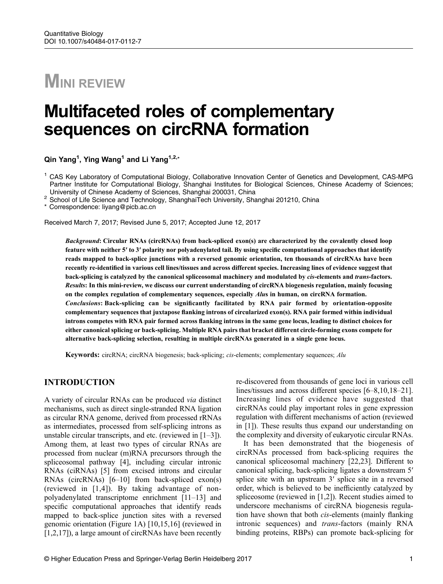# **MINI REVIEW**

## Multifaceted roles of complementary sequences on circRNA formation

Qin Yang<sup>1</sup>, Ying Wang<sup>1</sup> and Li Yang<sup>1,2,</sup>\*

<sup>1</sup> CAS Key Laboratory of Computational Biology, Collaborative Innovation Center of Genetics and Development, CAS-MPG Partner Institute for Computational Biology, Shanghai Institutes for Biological Sciences, Chinese Academy of Sciences;<br>University of Chinese Academy of Sciences, Shanghai 200031, China

<sup>2</sup> School of Life Science and Technology, ShanghaiTech University, Shanghai 201210, China

\* Correspondence: liyang@picb.ac.cn

Received March 7, 2017; Revised June 5, 2017; Accepted June 12, 2017

Background: Circular RNAs (circRNAs) from back-spliced exon(s) are characterized by the covalently closed loop feature with neither 5′ to 3′ polarity nor polyadenylated tail. By using specific computational approaches that identify reads mapped to back-splice junctions with a reversed genomic orientation, ten thousands of circRNAs have been recently re-identified in various cell lines/tissues and across different species. Increasing lines of evidence suggest that back-splicing is catalyzed by the canonical spliceosomal machinery and modulated by cis-elements and trans-factors. Results: In this mini-review, we discuss our current understanding of circRNA biogenesis regulation, mainly focusing on the complex regulation of complementary sequences, especially *Alus* in human, on circRNA formation. Conclusions: Back-splicing can be significantly facilitated by RNA pair formed by orientation-opposite complementary sequences that juxtapose flanking introns of circularized exon(s). RNA pair formed within individual introns competes with RNA pair formed across flanking introns in the same gene locus, leading to distinct choices for either canonical splicing or back-splicing. Multiple RNA pairs that bracket different circle-forming exons compete for alternative back-splicing selection, resulting in multiple circRNAs generated in a single gene locus.

Keywords: circRNA; circRNA biogenesis; back-splicing; cis-elements; complementary sequences; Alu

#### INTRODUCTION

A variety of circular RNAs can be produced via distinct mechanisms, such as direct single-stranded RNA ligation as circular RNA genome, derived from processed rRNAs as intermediates, processed from self-splicing introns as unstable circular transcripts, and etc. (reviewed in  $[1-3]$  $[1-3]$  $[1-3]$  $[1-3]$  $[1-3]$ ). Among them, at least two types of circular RNAs are processed from nuclear (m)RNA precursors through the spliceosomal pathway [[4\]](#page-3-0), including circular intronic RNAs (ciRNAs) [[5\]](#page-3-0) from excised introns and circular RNAs (circRNAs) [\[6](#page-3-0)–[10](#page-3-0)] from back-spliced exon(s) (reviewed in [[1,4\]](#page-3-0)). By taking advantage of nonpolyadenylated transcriptome enrichment [\[11](#page-3-0)–[13](#page-3-0)] and specific computational approaches that identify reads mapped to back-splice junction sites with a reversed genomic orientation (Figure 1A) [\[10,](#page-3-0)[15,16\]](#page-4-0) (reviewed in [[1](#page-3-0),[2,](#page-3-0)[17](#page-4-0)]), a large amount of circRNAs have been recently re-discovered from thousands of gene loci in various cell lines/tissues and across different species [\[6](#page-3-0)–[8,10,](#page-3-0)[18](#page-4-0)–[21\]](#page-4-0). Increasing lines of evidence have suggested that circRNAs could play important roles in gene expression regulation with different mechanisms of action (reviewed in [[1\]](#page-3-0)). These results thus expand our understanding on the complexity and diversity of eukaryotic circular RNAs.

It has been demonstrated that the biogenesis of circRNAs processed from back-splicing requires the canonical spliceosomal machinery [[22](#page-4-0),[23](#page-4-0)]. Different to canonical splicing, back-splicing ligates a downstream 5′ splice site with an upstream 3′ splice site in a reversed order, which is believed to be inefficiently catalyzed by spliceosome (reviewed in [\[1,2](#page-3-0)]). Recent studies aimed to underscore mechanisms of circRNA biogenesis regulation have shown that both cis-elements (mainly flanking intronic sequences) and *trans*-factors (mainly RNA binding proteins, RBPs) can promote back-splicing for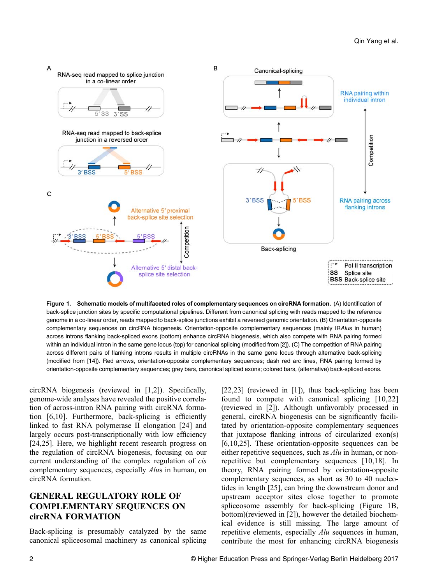

Figure 1. Schematic models of multifaceted roles of complementary sequences on circRNA formation. (A) Identification of back-splice junction sites by specific computational pipelines. Different from canonical splicing with reads mapped to the reference genome in a co-linear order, reads mapped to back-splice junctions exhibit a reversed genomic orientation. (B) Orientation-opposite complementary sequences on circRNA biogenesis. Orientation-opposite complementary sequences (mainly IRAlus in human) across introns flanking back-spliced exons (bottom) enhance circRNA biogenesis, which also compete with RNA pairing formed within an individual intron in the same gene locus (top) for canonical splicing (modified from [\[2](#page-3-0)]). (C) The competition of RNA pairing across different pairs of flanking introns results in multiple circRNAs in the same gene locus through alternative back-splicing (modified from [\[14](#page-3-0)]). Red arrows, orientation-opposite complementary sequences; dash red arc lines, RNA pairing formed by orientation-opposite complementary sequences; grey bars, canonical spliced exons; colored bars, (alternative) back-spliced exons.

circRNA biogenesis (reviewed in [\[1,2](#page-3-0)]). Specifically, genome-wide analyses have revealed the positive correlation of across-intron RNA pairing with circRNA formation [\[6](#page-3-0),[10\]](#page-3-0). Furthermore, back-splicing is efficiently linked to fast RNA polymerase II elongation [\[24\]](#page-4-0) and largely occurs post-transcriptionally with low efficiency [\[24,25\]](#page-4-0). Here, we highlight recent research progress on the regulation of circRNA biogenesis, focusing on our current understanding of the complex regulation of cis complementary sequences, especially Alus in human, on circRNA formation.

## GENERAL REGULATORY ROLE OF COMPLEMENTARY SEQUENCES ON circRNA FORMATION

Back-splicing is presumably catalyzed by the same canonical spliceosomal machinery as canonical splicing

[\[22,23\]](#page-4-0) (reviewed in [\[1](#page-3-0)]), thus back-splicing has been found to compete with canonical splicing [[10,](#page-3-0)[22](#page-4-0)] (reviewed in [\[2](#page-3-0)]). Although unfavorably processed in general, circRNA biogenesis can be significantly facilitated by orientation-opposite complementary sequences that juxtapose flanking introns of circularized exon(s) [\[6](#page-3-0),[10](#page-3-0),[25](#page-4-0)]. These orientation-opposite sequences can be either repetitive sequences, such as  $Alu$  in human, or nonrepetitive but complementary sequences [[10](#page-3-0)[,18](#page-4-0)]. In theory, RNA pairing formed by orientation-opposite complementary sequences, as short as 30 to 40 nucleotides in length [\[25\]](#page-4-0), can bring the downstream donor and upstream acceptor sites close together to promote spliceosome assembly for back-splicing (Figure 1B, bottom)(reviewed in [\[2](#page-3-0)]), however the detailed biochemical evidence is still missing. The large amount of repetitive elements, especially *Alu* sequences in human, contribute the most for enhancing circRNA biogenesis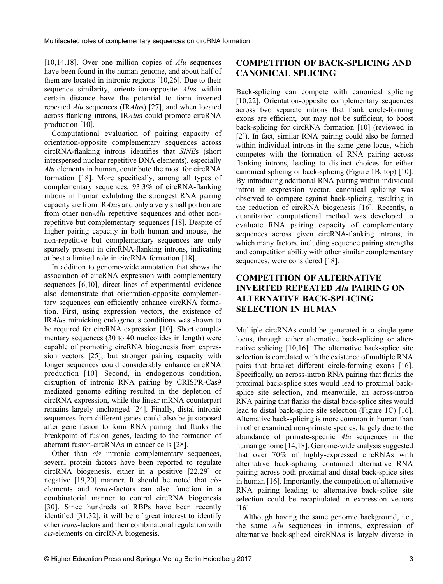[[10](#page-3-0),[14](#page-3-0)[,18](#page-4-0)]. Over one million copies of  $\Delta l$ u sequences have been found in the human genome, and about half of them are located in intronic regions [[10](#page-3-0),[26](#page-4-0)]. Due to their sequence similarity, orientation-opposite *Alus* within certain distance have the potential to form inverted repeated Alu sequences (IRAlus) [\[27\]](#page-4-0), and when located across flanking introns, IRAlus could promote circRNA production [[10](#page-3-0)].

Computational evaluation of pairing capacity of orientation-opposite complementary sequences across circRNA-flanking introns identifies that SINEs (short interspersed nuclear repetitive DNA elements), especially Alu elements in human, contribute the most for circRNA formation [[18](#page-4-0)]. More specifically, among all types of complementary sequences, 93.3% of circRNA-flanking introns in human exhibiting the strongest RNA pairing capacity are from IRAlus and only a very small portion are from other non-*Alu* repetitive sequences and other nonrepetitive but complementary sequences [\[18\]](#page-4-0). Despite of higher pairing capacity in both human and mouse, the non-repetitive but complementary sequences are only sparsely present in circRNA-flanking introns, indicating at best a limited role in circRNA formation [[18](#page-4-0)].

In addition to genome-wide annotation that shows the association of circRNA expression with complementary sequences [\[6,10\]](#page-3-0), direct lines of experimental evidence also demonstrate that orientation-opposite complementary sequences can efficiently enhance circRNA formation. First, using expression vectors, the existence of IRAlus mimicking endogenous conditions was shown to be required for circRNA expression [\[10](#page-3-0)]. Short complementary sequences (30 to 40 nucleotides in length) were capable of promoting circRNA biogenesis from expression vectors [\[25](#page-4-0)], but stronger pairing capacity with longer sequences could considerably enhance circRNA production [\[10](#page-3-0)]. Second, in endogenous condition, disruption of intronic RNA pairing by CRISPR-Cas9 mediated genome editing resulted in the depletion of circRNA expression, while the linear mRNA counterpart remains largely unchanged [\[24\]](#page-4-0). Finally, distal intronic sequences from different genes could also be juxtaposed after gene fusion to form RNA pairing that flanks the breakpoint of fusion genes, leading to the formation of aberrant fusion-circRNAs in cancer cells [[28](#page-4-0)].

Other than *cis* intronic complementary sequences, several protein factors have been reported to regulate circRNA biogenesis, either in a positive [\[22,29](#page-4-0)] or negative [\[19,20\]](#page-4-0) manner. It should be noted that ciselements and trans-factors can also function in a combinatorial manner to control circRNA biogenesis [[30\]](#page-4-0). Since hundreds of RBPs have been recently identified [[31](#page-4-0),[32](#page-4-0)], it will be of great interest to identify other trans-factors and their combinatorial regulation with cis-elements on circRNA biogenesis.

## COMPETITION OF BACK-SPLICING AND CANONICAL SPLICING

Back-splicing can compete with canonical splicing [[10](#page-3-0),[22](#page-4-0)]. Orientation-opposite complementary sequences across two separate introns that flank circle-forming exons are efficient, but may not be sufficient, to boost back-splicing for circRNA formation [[10](#page-3-0)] (reviewed in [[2](#page-3-0)]). In fact, similar RNA pairing could also be formed within individual introns in the same gene locus, which competes with the formation of RNA pairing across flanking introns, leading to distinct choices for either canonical splicing or back-splicing (Figure 1B, top) [\[10\]](#page-3-0). By introducing additional RNA pairing within individual intron in expression vector, canonical splicing was observed to compete against back-splicing, resulting in the reduction of circRNA biogenesis [\[16\]](#page-4-0). Recently, a quantitative computational method was developed to evaluate RNA pairing capacity of complementary sequences across given circRNA-flanking introns, in which many factors, including sequence pairing strengths and competition ability with other similar complementary sequences, were considered [[18](#page-4-0)].

#### COMPETITION OF ALTERNATIVE INVERTED REPEATED Alu PAIRING ON ALTERNATIVE BACK-SPLICING SELECTION IN HUMAN

Multiple circRNAs could be generated in a single gene locus, through either alternative back-splicing or alternative splicing [[10](#page-3-0),[16](#page-4-0)]. The alternative back-splice site selection is correlated with the existence of multiple RNA pairs that bracket different circle-forming exons [\[16\]](#page-4-0). Specifically, an across-intron RNA pairing that flanks the proximal back-splice sites would lead to proximal backsplice site selection, and meanwhile, an across-intron RNA pairing that flanks the distal back-splice sites would lead to distal back-splice site selection (Figure 1C) [\[16\]](#page-4-0). Alternative back-splicing is more common in human than in other examined non-primate species, largely due to the abundance of primate-specific Alu sequences in the human genome [\[14,](#page-3-0)[18](#page-4-0)]. Genome-wide analysis suggested that over 70% of highly-expressed circRNAs with alternative back-splicing contained alternative RNA pairing across both proximal and distal back-splice sites in human [\[16\]](#page-4-0). Importantly, the competition of alternative RNA pairing leading to alternative back-splice site selection could be recapitulated in expression vectors [[16](#page-4-0)].

Although having the same genomic background, i.e., the same Alu sequences in introns, expression of alternative back-spliced circRNAs is largely diverse in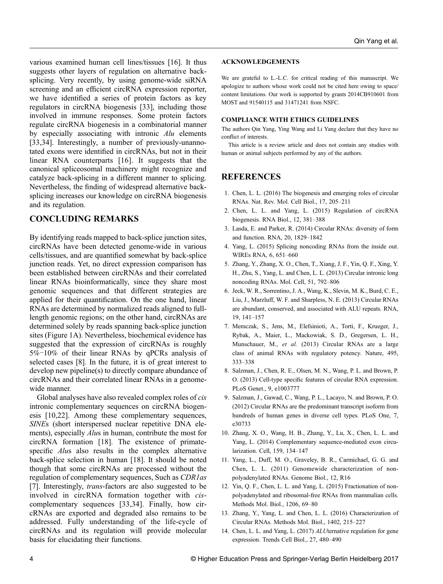<span id="page-3-0"></span>various examined human cell lines/tissues [[16](#page-4-0)]. It thus suggests other layers of regulation on alternative backsplicing. Very recently, by using genome-wide siRNA screening and an efficient circRNA expression reporter, we have identified a series of protein factors as key regulators in circRNA biogenesis [\[33\]](#page-4-0), including those involved in immune responses. Some protein factors regulate circRNA biogenesis in a combinatorial manner by especially associating with intronic  $\Delta l$ u elements [\[33,34\]](#page-4-0). Interestingly, a number of previously-unannotated exons were identified in circRNAs, but not in their linear RNA counterparts [\[16](#page-4-0)]. It suggests that the canonical spliceosomal machinery might recognize and catalyze back-splicing in a different manner to splicing. Nevertheless, the finding of widespread alternative backsplicing increases our knowledge on circRNA biogenesis and its regulation.

### CONCLUDING REMARKS

By identifying reads mapped to back-splice junction sites, circRNAs have been detected genome-wide in various cells/tissues, and are quantified somewhat by back-splice junction reads. Yet, no direct expression comparison has been established between circRNAs and their correlated linear RNAs bioinformatically, since they share most genomic sequences and that different strategies are applied for their quantification. On the one hand, linear RNAs are determined by normalized reads aligned to fulllength genomic regions; on the other hand, circRNAs are determined solely by reads spanning back-splice junction sites (Figure 1A). Nevertheless, biochemical evidence has suggested that the expression of circRNAs is roughly 5%‒10% of their linear RNAs by qPCRs analysis of selected cases [8]. In the future, it is of great interest to develop new pipeline(s) to directly compare abundance of circRNAs and their correlated linear RNAs in a genomewide manner.

Global analyses have also revealed complex roles of cis intronic complementary sequences on circRNA biogenesis [10[,22\]](#page-4-0). Among these complementary sequences, SINEs (short interspersed nuclear repetitive DNA elements), especially *Alus* in human, contribute the most for circRNA formation [\[18\]](#page-4-0). The existence of primatespecific *Alus* also results in the complex alternative back-splice selection in human [[18](#page-4-0)]. It should be noted though that some circRNAs are processed without the regulation of complementary sequences, Such as CDR1as [7]. Interestingly, *trans*-factors are also suggested to be involved in circRNA formation together with ciscomplementary sequences [[33,34\]](#page-4-0). Finally, how circRNAs are exported and degraded also remains to be addressed. Fully understanding of the life-cycle of circRNAs and its regulation will provide molecular basis for elucidating their functions.

#### ACKNOWLEDGEMENTS

We are grateful to L.-L.C. for critical reading of this manuscript. We apologize to authors whose work could not be cited here owing to space/ content limitations. Our work is supported by grants 2014CB910601 from MOST and 91540115 and 31471241 from NSFC.

#### COMPLIANCE WITH ETHICS GUIDELINES

The authors Qin Yang, Ying Wang and Li Yang declare that they have no conflict of interests.

This article is a review article and does not contain any studies with human or animal subjects performed by any of the authors.

#### REFERENCES

- 1. Chen, L. L. (2016) The biogenesis and emerging roles of circular RNAs. Nat. Rev. Mol. Cell Biol., 17, 205–211
- 2. Chen, L. L. and Yang, L. (2015) Regulation of circRNA biogenesis. RNA Biol., 12, 381–388
- 3. Lasda, E. and Parker, R. (2014) Circular RNAs: diversity of form and function. RNA, 20, 1829–1842
- 4. Yang, L. (2015) Splicing noncoding RNAs from the inside out. WIREs RNA, 6, 651–660
- 5. Zhang, Y., Zhang, X. O., Chen, T., Xiang, J. F., Yin, Q. F., Xing, Y. H., Zhu, S., Yang, L. and Chen, L. L. (2013) Circular intronic long noncoding RNAs. Mol. Cell, 51, 792–806
- 6. Jeck, W. R., Sorrentino, J. A., Wang, K., Slevin, M. K., Burd, C. E., Liu, J., Marzluff, W. F. and Sharpless, N. E. (2013) Circular RNAs are abundant, conserved, and associated with ALU repeats. RNA, 19, 141–157
- 7. Memczak, S., Jens, M., Elefsinioti, A., Torti, F., Krueger, J., Rybak, A., Maier, L., Mackowiak, S. D., Gregersen, L. H., Munschauer, M., et al. (2013) Circular RNAs are a large class of animal RNAs with regulatory potency. Nature, 495, 333–338
- 8. Salzman, J., Chen, R. E., Olsen, M. N., Wang, P. L. and Brown, P. O. (2013) Cell-type specific features of circular RNA expression. PLoS Genet., 9, e1003777
- 9. Salzman, J., Gawad, C., Wang, P. L., Lacayo, N. and Brown, P. O. (2012) Circular RNAs are the predominant transcript isoform from hundreds of human genes in diverse cell types. PLoS One, 7, e30733
- 10. Zhang, X. O., Wang, H. B., Zhang, Y., Lu, X., Chen, L. L. and Yang, L. (2014) Complementary sequence-mediated exon circularization. Cell, 159, 134–147
- 11. Yang, L., Duff, M. O., Graveley, B. R., Carmichael, G. G. and Chen, L. L. (2011) Genomewide characterization of nonpolyadenylated RNAs. Genome Biol., 12, R16
- 12. Yin, Q. F., Chen, L. L. and Yang, L. (2015) Fractionation of nonpolyadenylated and ribosomal-free RNAs from mammalian cells. Methods Mol. Biol., 1206, 69–80
- 13. Zhang, Y., Yang, L. and Chen, L. L. (2016) Characterization of Circular RNAs. Methods Mol. Biol., 1402, 215–227
- 14. Chen, L. L. and Yang, L. (2017) ALUternative regulation for gene expression. Trends Cell Biol., 27, 480–490